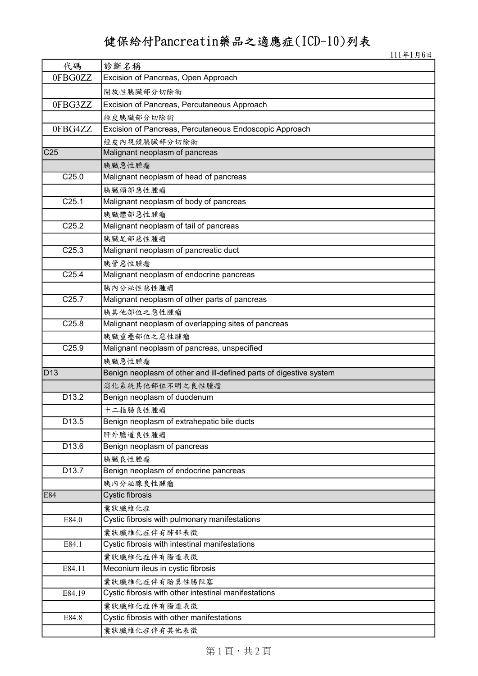## 健保給付Pancreatin藥品之適應症(ICD-10)列表

111年1月6日

| 代碼                | 診斷名稱                                                               |  |  |  |
|-------------------|--------------------------------------------------------------------|--|--|--|
| 0FBG0ZZ           | Excision of Pancreas, Open Approach                                |  |  |  |
|                   | 開放性胰臟部分切除術                                                         |  |  |  |
| 0FBG3ZZ           | Excision of Pancreas, Percutaneous Approach                        |  |  |  |
|                   | 經皮胰臟部分切除術                                                          |  |  |  |
| 0FBG4ZZ           | Excision of Pancreas, Percutaneous Endoscopic Approach             |  |  |  |
|                   | 經皮內視鏡胰臟部分切除術                                                       |  |  |  |
| C <sub>25</sub>   | Malignant neoplasm of pancreas                                     |  |  |  |
|                   | 胰臟惡性腫瘤                                                             |  |  |  |
| C <sub>25.0</sub> | Malignant neoplasm of head of pancreas                             |  |  |  |
|                   | 胰臟頭部惡性腫瘤                                                           |  |  |  |
| C <sub>25.1</sub> | Malignant neoplasm of body of pancreas                             |  |  |  |
|                   | 胰臟體部惡性腫瘤                                                           |  |  |  |
| C <sub>25.2</sub> | Malignant neoplasm of tail of pancreas                             |  |  |  |
|                   | 胰臟尾部惡性腫瘤                                                           |  |  |  |
| C <sub>25.3</sub> | Malignant neoplasm of pancreatic duct                              |  |  |  |
|                   | 胰管惡性腫瘤                                                             |  |  |  |
| C <sub>25.4</sub> | Malignant neoplasm of endocrine pancreas                           |  |  |  |
|                   | 胰内分泌性惡性腫瘤                                                          |  |  |  |
| C <sub>25.7</sub> | Malignant neoplasm of other parts of pancreas                      |  |  |  |
|                   | 胰其他部位之惡性腫瘤                                                         |  |  |  |
| C <sub>25.8</sub> | Malignant neoplasm of overlapping sites of pancreas                |  |  |  |
|                   | 胰臟重疊部位之惡性腫瘤                                                        |  |  |  |
| C25.9             | Malignant neoplasm of pancreas, unspecified                        |  |  |  |
|                   | 胰臟惡性腫瘤                                                             |  |  |  |
| <b>D13</b>        | Benign neoplasm of other and ill-defined parts of digestive system |  |  |  |
|                   | 消化系統其他部位不明之良性腫瘤                                                    |  |  |  |
| D <sub>13.2</sub> | Benign neoplasm of duodenum                                        |  |  |  |
|                   | 十二指腸良性腫瘤                                                           |  |  |  |
| D13.5             | Benign neoplasm of extrahepatic bile ducts                         |  |  |  |
|                   | 肝外膽道良性腫瘤                                                           |  |  |  |
| D13.6             | Benign neoplasm of pancreas                                        |  |  |  |
|                   | 胰臟良性腫瘤                                                             |  |  |  |
| D <sub>13.7</sub> | Benign neoplasm of endocrine pancreas                              |  |  |  |
|                   | 胰内分泌腺良性腫瘤                                                          |  |  |  |
| E84               | Cystic fibrosis                                                    |  |  |  |
|                   | 囊狀纖維化症                                                             |  |  |  |
| E84.0             | Cystic fibrosis with pulmonary manifestations                      |  |  |  |
|                   | 囊狀纖維化症伴有肺部表徵                                                       |  |  |  |
| E84.1             | Cystic fibrosis with intestinal manifestations                     |  |  |  |
|                   | 囊狀纖維化症伴有腸道表徵                                                       |  |  |  |
| E84.11            | Meconium ileus in cystic fibrosis                                  |  |  |  |
|                   | 囊狀纖維化症伴有胎糞性腸阻塞                                                     |  |  |  |
| E84.19            | Cystic fibrosis with other intestinal manifestations               |  |  |  |
|                   | 囊狀纖維化症伴有腸道表徵                                                       |  |  |  |
| E84.8             | Cystic fibrosis with other manifestations                          |  |  |  |
|                   | 囊狀纖維化症伴有其他表徵                                                       |  |  |  |

第1頁,共2頁